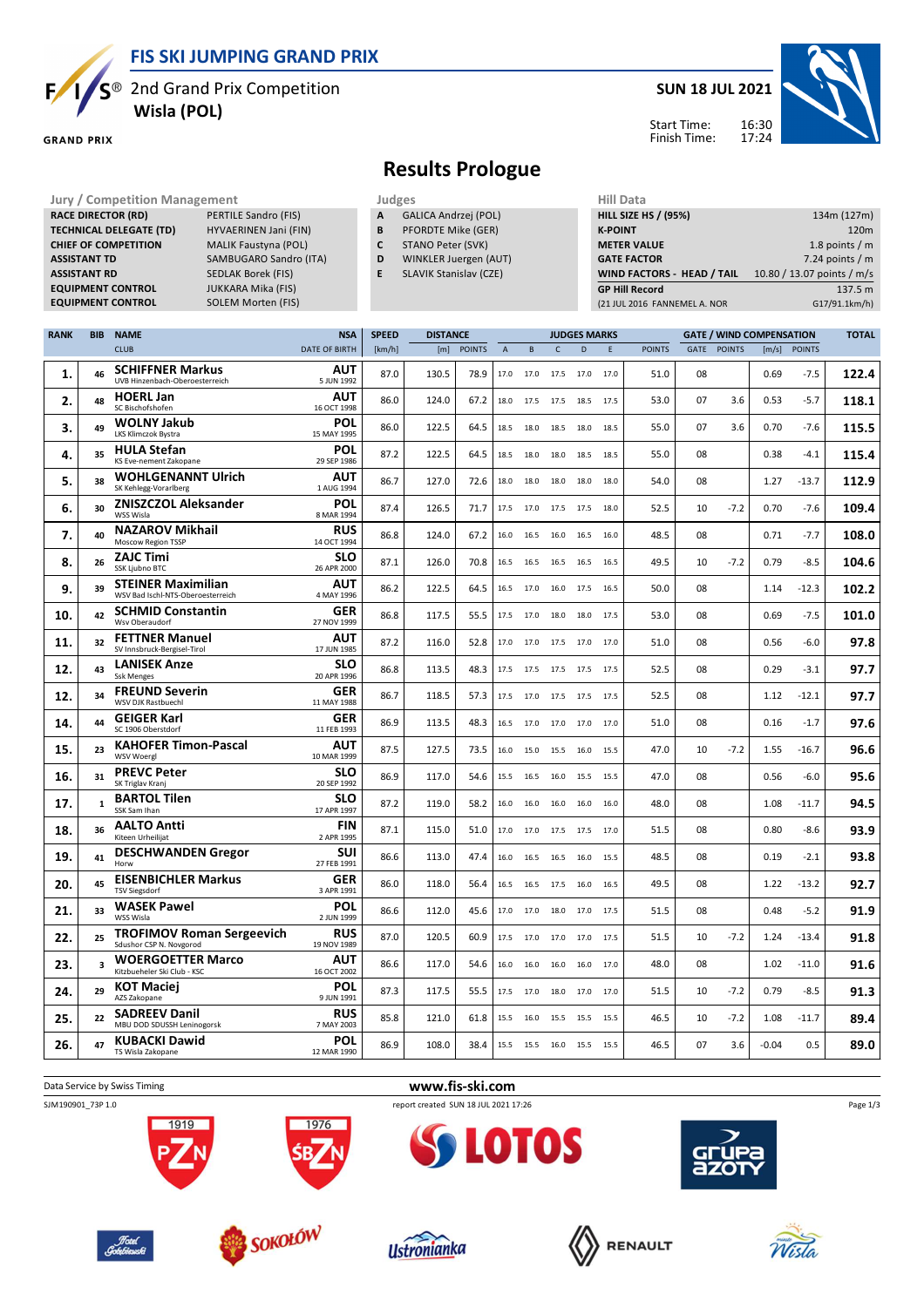**FIS SKI JUMPING GRAND PRIX**

**EQUIPM Morten (FIS)** 

 $\mathsf{S}^\circledast$  2nd Grand Prix Competition  **Wisla (POL)**

**TECHNICAL DELEGATE (TD)** HYVAERINEN Jani (FIN) **CHIEF OF COMPETITION** MALIK Faustyna (POL) **ASSISTANT TD** SAMBUGARO Sandro (ITA) **ASSISTANT RD** SEDLAK Borek (FIS)<br>**EQUIPMENT CONTROL** JUKKARA Mika (FIS)

**GRAND PRIX** 

F

**RACE DIRECTOR (RD)** 

**EQUIPMENT CONTROL**<br>**EQUIPMENT CONTROL** 

#### **SUN 18 JUL 2021**



#### Start Time: Finish Time:

### **Results Prologue**

- **Jury / Competition Management Judges Judges Hill Data**<br>**RACE DIRECTOR (RD)** PERTILE Sandro (FIS) **A** GALICA Andrzej (POL) **HILL SIZE H A** GALICA Andrzej (POL)
	- **B** PFORDTE Mike (GER) **C** STANO Peter (SVK)
	- **D** WINKLER Juergen (AUT)
	- **E** SLAVIK Stanislav (CZE)

| 134m (127m)                |
|----------------------------|
| 120 <sub>m</sub>           |
| 1.8 points $/m$            |
| 7.24 points $/m$           |
| 10.80 / 13.07 points / m/s |
| 137.5 m                    |
| G17/91.1km/h)              |
|                            |

| <b>RANK</b> | <b>BIB</b>   | <b>NAME</b>                                                    | <b>NSA</b>                | <b>SPEED</b> | <b>DISTANCE</b> |               | <b>JUDGES MARKS</b> |      |              |                          |      |               | <b>GATE / WIND COMPENSATION</b> |             |         |               | <b>TOTAL</b> |
|-------------|--------------|----------------------------------------------------------------|---------------------------|--------------|-----------------|---------------|---------------------|------|--------------|--------------------------|------|---------------|---------------------------------|-------------|---------|---------------|--------------|
|             |              | <b>CLUB</b>                                                    | <b>DATE OF BIRTH</b>      | [km/h]       | [m]             | <b>POINTS</b> | A                   | B    | $\mathsf{C}$ | D                        | E    | <b>POINTS</b> |                                 | GATE POINTS | [m/s]   | <b>POINTS</b> |              |
| 1.          | 46           | <b>SCHIFFNER Markus</b><br>UVB Hinzenbach-Oberoesterreich      | AUT<br>5 JUN 1992         | 87.0         | 130.5           | 78.9          | 17.0                | 17.0 | 17.5         | 17.0                     | 17.0 | 51.0          | 08                              |             | 0.69    | $-7.5$        | 122.4        |
| 2.          | 48           | <b>HOERL Jan</b><br>SC Bischofshofen                           | AUT<br>16 OCT 1998        | 86.0         | 124.0           | 67.2          | 18.0                | 17.5 | 17.5 18.5    |                          | 17.5 | 53.0          | 07                              | 3.6         | 0.53    | $-5.7$        | 118.1        |
| 3.          | 49           | <b>WOLNY Jakub</b><br>LKS Klimczok Bystra                      | POL<br>15 MAY 1995        | 86.0         | 122.5           | 64.5          | 18.5                | 18.0 | 18.5         | 18.0                     | 18.5 | 55.0          | 07                              | 3.6         | 0.70    | $-7.6$        | 115.5        |
| 4.          | 35           | <b>HULA Stefan</b><br>KS Eve-nement Zakopane                   | POL<br>29 SEP 1986        | 87.2         | 122.5           | 64.5          | 18.5                | 18.0 | 18.0         | 18.5                     | 18.5 | 55.0          | 08                              |             | 0.38    | -4.1          | 115.4        |
| 5.          | 38           | <b>WOHLGENANNT Ulrich</b><br>SK Kehlegg-Vorarlberg             | AUT<br>1 AUG 1994         | 86.7         | 127.0           | 72.6          | 18.0                | 18.0 | 18.0         | 18.0                     | 18.0 | 54.0          | 08                              |             | 1.27    | $-13.7$       | 112.9        |
| 6.          | 30           | <b>ZNISZCZOL Aleksander</b><br>WSS Wisla                       | <b>POL</b><br>8 MAR 1994  | 87.4         | 126.5           | 71.7          | 17.5                | 17.0 | 17.5         | 17.5                     | 18.0 | 52.5          | 10                              | $-7.2$      | 0.70    | $-7.6$        | 109.4        |
| 7.          | 40           | <b>NAZAROV Mikhail</b><br><b>Moscow Region TSSP</b>            | <b>RUS</b><br>14 OCT 1994 | 86.8         | 124.0           | 67.2          | 16.0                | 16.5 | 16.0         | 16.5                     | 16.0 | 48.5          | 08                              |             | 0.71    | $-7.7$        | 108.0        |
| 8.          | 26           | <b>ZAJC Timi</b><br>SSK Ljubno BTC                             | <b>SLO</b><br>26 APR 2000 | 87.1         | 126.0           | 70.8          | 16.5                | 16.5 | 16.5         | 16.5                     | 16.5 | 49.5          | 10                              | $-7.2$      | 0.79    | $-8.5$        | 104.6        |
| 9.          | 39           | <b>STEINER Maximilian</b><br>WSV Bad Ischl-NTS-Oberoesterreich | AUT<br>4 MAY 1996         | 86.2         | 122.5           | 64.5          | 16.5                | 17.0 | 16.0         | 17.5                     | 16.5 | 50.0          | 08                              |             | 1.14    | $-12.3$       | 102.2        |
| 10          | 42           | <b>SCHMID Constantin</b><br>Wsv Oberaudorf                     | <b>GER</b><br>27 NOV 1999 | 86.8         | 117.5           | 55.5          | 17.5                | 17.0 | 18.0         | 18.0                     | 17.5 | 53.0          | 08                              |             | 0.69    | $-7.5$        | 101.0        |
| 11.         | 32           | <b>FETTNER Manuel</b><br>SV Innsbruck-Bergisel-Tirol           | AUT<br>17 JUN 1985        | 87.2         | 116.0           | 52.8          | 17.0                | 17.0 | 17.5         | 17.0                     | 17.0 | 51.0          | 08                              |             | 0.56    | $-6.0$        | 97.8         |
| 12.         | 43           | <b>LANISEK Anze</b><br><b>Ssk Menges</b>                       | <b>SLO</b><br>20 APR 1996 | 86.8         | 113.5           | 48.3          | 17.5                | 17.5 | 17.5         | 17.5                     | 17.5 | 52.5          | 08                              |             | 0.29    | -3.1          | 97.7         |
| 12.         | 34           | <b>FREUND Severin</b><br>WSV DJK Rastbuechl                    | <b>GER</b><br>11 MAY 1988 | 86.7         | 118.5           | 57.3          | 17.5                |      |              | 17.0 17.5 17.5 17.5      |      | 52.5          | 08                              |             | 1.12    | $-12.1$       | 97.7         |
| 14.         | 44           | <b>GEIGER Karl</b><br>SC 1906 Oberstdorf                       | <b>GER</b><br>11 FEB 1993 | 86.9         | 113.5           | 48.3          | 16.5                | 17.0 | 17.0         | 17.0                     | 17.0 | 51.0          | 08                              |             | 0.16    | $-1.7$        | 97.6         |
| 15.         | 23           | <b>KAHOFER Timon-Pascal</b><br>WSV Woergl                      | <b>AUT</b><br>10 MAR 1999 | 87.5         | 127.5           | 73.5          | 16.0                | 15.0 | 15.5         | 16.0                     | 15.5 | 47.0          | 10                              | $-7.2$      | 1.55    | $-16.7$       | 96.6         |
| 16.         | 31           | <b>PREVC Peter</b><br>SK Triglav Kranj                         | <b>SLO</b><br>20 SEP 1992 | 86.9         | 117.0           | 54.6          | 15.5                | 16.5 | 16.0         | 15.5                     | 15.5 | 47.0          | 08                              |             | 0.56    | $-6.0$        | 95.6         |
| 17.         | $\mathbf{1}$ | <b>BARTOL Tilen</b><br>SSK Sam Ihan                            | <b>SLO</b><br>17 APR 1997 | 87.2         | 119.0           | 58.2          | 16.0                | 16.0 | 16.0         | 16.0                     | 16.0 | 48.0          | 08                              |             | 1.08    | $-11.7$       | 94.5         |
| 18.         | 36           | <b>AALTO Antti</b><br>Kiteen Urheilijat                        | <b>FIN</b><br>2 APR 1995  | 87.1         | 115.0           | 51.0          | 17.0                | 17.0 | 17.5         | 17.5                     | 17.0 | 51.5          | 08                              |             | 0.80    | -8.6          | 93.9         |
| 19.         | 41           | <b>DESCHWANDEN Gregor</b><br>Horw                              | SUI<br>27 FEB 1991        | 86.6         | 113.0           | 47.4          | 16.0                | 16.5 | 16.5         | 16.0                     | 15.5 | 48.5          | 08                              |             | 0.19    | $-2.1$        | 93.8         |
| 20.         | 45           | <b>EISENBICHLER Markus</b><br><b>TSV Siegsdorf</b>             | GER<br>3 APR 1991         | 86.0         | 118.0           | 56.4          | 16.5                | 16.5 | 17.5         | 16.0                     | 16.5 | 49.5          | 08                              |             | 1.22    | $-13.2$       | 92.7         |
| 21.         | 33           | <b>WASEK Pawel</b><br>WSS Wisla                                | <b>POL</b><br>2 JUN 1999  | 86.6         | 112.0           | 45.6          | 17.0                | 17.0 | 18.0         | 17.0                     | 17.5 | 51.5          | 08                              |             | 0.48    | $-5.2$        | 91.9         |
| 22.         | 25           | <b>TROFIMOV Roman Sergeevich</b><br>Sdushor CSP N. Novgorod    | <b>RUS</b><br>19 NOV 1989 | 87.0         | 120.5           | 60.9          | 17.5                | 17.0 | 17.0         | 17.0                     | 17.5 | 51.5          | 10                              | $-7.2$      | 1.24    | $-13.4$       | 91.8         |
| 23.         | 3            | <b>WOERGOETTER Marco</b><br>Kitzbueheler Ski Club - KSC        | <b>AUT</b><br>16 OCT 2002 | 86.6         | 117.0           | 54.6          | 16.0                | 16.0 | 16.0         | 16.0                     | 17.0 | 48.0          | 08                              |             | 1.02    | $-11.0$       | 91.6         |
| 24.         | 29           | <b>KOT Maciej</b><br>AZS Zakopane                              | <b>POL</b><br>9 JUN 1991  | 87.3         | 117.5           | 55.5          | 17.5                | 17.0 | 18.0         | 17.0                     | 17.0 | 51.5          | 10                              | $-7.2$      | 0.79    | $-8.5$        | 91.3         |
| 25.         | 22           | <b>SADREEV Danil</b><br>MBU DOD SDUSSH Leninogorsk             | <b>RUS</b><br>7 MAY 2003  | 85.8         | 121.0           | 61.8          | 15.5                | 16.0 | 15.5 15.5    |                          | 15.5 | 46.5          | 10                              | $-7.2$      | 1.08    | $-11.7$       | 89.4         |
| 26.         | 47           | <b>KUBACKI Dawid</b><br>TS Wisla Zakopane                      | POL<br>12 MAR 1990        | 86.9         | 108.0           | 38.4          |                     |      |              | 15.5 15.5 16.0 15.5 15.5 |      | 46.5          | 07                              | 3.6         | $-0.04$ | 0.5           | 89.0         |

Data Service by Swiss Timing **www.fis-ski.com**

SJM190901\_73P 1.0 report created SUN 18 JUL 2021 17:26















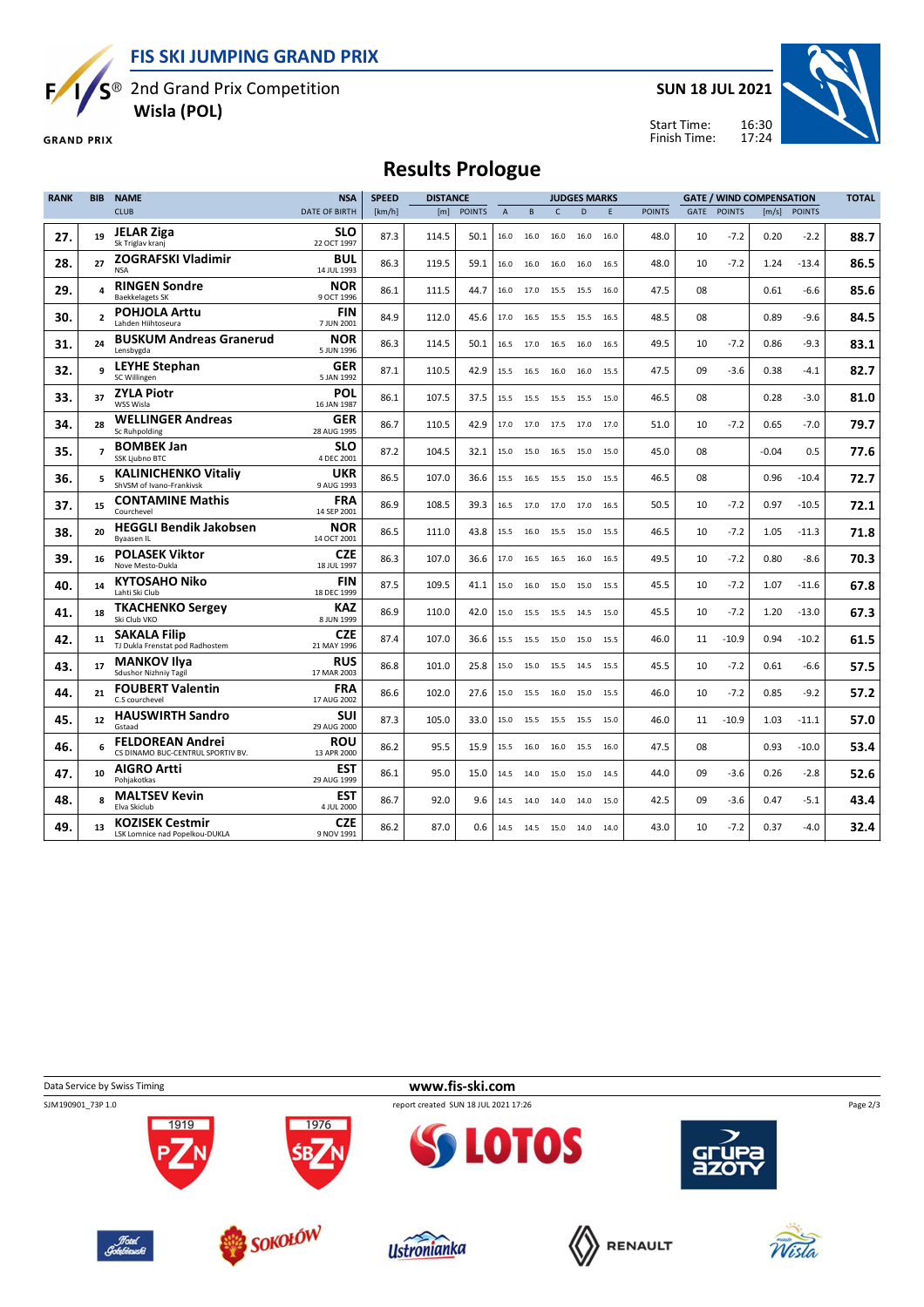**FIS SKI JUMPING GRAND PRIX**

S<sup>®</sup> 2nd Grand Prix Competition

 **Wisla (POL)**

**GRAND PRIX** 

Б,

**SUN 18 JUL 2021**



16:30 17:24 Start Time: Finish Time:

# **Results Prologue**

| <b>RANK</b> | <b>BIB</b>               | <b>NAME</b>                                                  | <b>NSA</b>                | <b>SPEED</b> | <b>DISTANCE</b> |               |                | <b>JUDGES MARKS</b> |              |                |      | <b>GATE / WIND COMPENSATION</b> |             |               |         | <b>TOTAL</b>   |      |
|-------------|--------------------------|--------------------------------------------------------------|---------------------------|--------------|-----------------|---------------|----------------|---------------------|--------------|----------------|------|---------------------------------|-------------|---------------|---------|----------------|------|
|             |                          | <b>CLUB</b>                                                  | <b>DATE OF BIRTH</b>      | [km/h]       | [m]             | <b>POINTS</b> | $\overline{A}$ | B                   | $\mathsf{C}$ | D              | F.   | <b>POINTS</b>                   | <b>GATE</b> | <b>POINTS</b> |         | $[m/s]$ POINTS |      |
| 27.         | 19                       | <b>JELAR Ziga</b><br>Sk Triglav kranj                        | <b>SLO</b><br>22 OCT 1997 | 87.3         | 114.5           | 50.1          | 16.0           | 16.0                | 16.0         | 16.0           | 16.0 | 48.0                            | 10          | $-7.2$        | 0.20    | $-2.2$         | 88.7 |
| 28.         | 27                       | ZOGRAFSKI Vladimir<br><b>NSA</b>                             | <b>BUL</b><br>14 JUL 1993 | 86.3         | 119.5           | 59.1          | 16.0           | 16.0                | 16.0         | 16.0           | 16.5 | 48.0                            | 10          | $-7.2$        | 1.24    | $-13.4$        | 86.5 |
| 29.         |                          | <b>RINGEN Sondre</b><br><b>Baekkelagets SK</b>               | <b>NOR</b><br>9 OCT 1996  | 86.1         | 111.5           | 44.7          | 16.0           | 17.0                |              | 15.5 15.5 16.0 |      | 47.5                            | 08          |               | 0.61    | -6.6           | 85.6 |
| 30.         | $\overline{\phantom{a}}$ | <b>POHJOLA Arttu</b><br>Lahden Hiihtoseura                   | <b>FIN</b><br>7 JUN 2001  | 84.9         | 112.0           | 45.6          |                | 17.0 16.5           |              | 15.5 15.5 16.5 |      | 48.5                            | 08          |               | 0.89    | $-9.6$         | 84.5 |
| 31.         | 24                       | <b>BUSKUM Andreas Granerud</b><br>Lensbygda                  | <b>NOR</b><br>5 JUN 1996  | 86.3         | 114.5           | 50.1          | 16.5           | 17.0                |              | 16.5 16.0      | 16.5 | 49.5                            | 10          | $-7.2$        | 0.86    | $-9.3$         | 83.1 |
| 32.         |                          | <b>LEYHE Stephan</b><br>SC Willingen                         | <b>GER</b><br>5 JAN 1992  | 87.1         | 110.5           | 42.9          | 15.5           | 16.5                | 16.0         | 16.0           | 15.5 | 47.5                            | 09          | $-3.6$        | 0.38    | $-4.1$         | 82.7 |
| 33.         | 37                       | <b>ZYLA Piotr</b><br><b>WSS Wisla</b>                        | POL<br>16 JAN 1987        | 86.1         | 107.5           | 37.5          | 15.5           | 15.5                |              | 15.5 15.5      | 15.0 | 46.5                            | 08          |               | 0.28    | -3.0           | 81.0 |
| 34.         | 28                       | <b>WELLINGER Andreas</b><br>Sc Ruhpolding                    | GER<br>28 AUG 1995        | 86.7         | 110.5           | 42.9          | 17.0           | 17.0                | 17.5         | 17.0           | 17.0 | 51.0                            | 10          | $-7.2$        | 0.65    | $-7.0$         | 79.7 |
| 35.         | $\overline{ }$           | <b>BOMBEK Jan</b><br><b>SSK Liubno BTC</b>                   | <b>SLO</b><br>4 DEC 2001  | 87.2         | 104.5           | 32.1          | 15.0           | 15.0                | 16.5         | 15.0           | 15.0 | 45.0                            | 08          |               | $-0.04$ | 0.5            | 77.6 |
| 36.         |                          | <b>KALINICHENKO Vitaliv</b><br>ShVSM of Ivano-Frankivsk      | <b>UKR</b><br>9 AUG 1993  | 86.5         | 107.0           | 36.6          | 15.5           | 16.5                | 15.5 15.0    |                | 15.5 | 46.5                            | 08          |               | 0.96    | $-10.4$        | 72.7 |
| 37.         | 15                       | <b>CONTAMINE Mathis</b><br>Courchevel                        | <b>FRA</b><br>14 SEP 2001 | 86.9         | 108.5           | 39.3          | 16.5           | 17.0                |              | 17.0 17.0      | 16.5 | 50.5                            | 10          | $-7.2$        | 0.97    | $-10.5$        | 72.1 |
| 38.         | 20                       | <b>HEGGLI Bendik Jakobsen</b><br><b>Byaasen IL</b>           | <b>NOR</b><br>14 OCT 2001 | 86.5         | 111.0           | 43.8          |                | 15.5 16.0           |              | 15.5 15.0 15.5 |      | 46.5                            | 10          | $-7.2$        | 1.05    | $-11.3$        | 71.8 |
| 39.         | 16                       | <b>POLASEK Viktor</b><br>Nove Mesto-Dukla                    | <b>CZE</b><br>18 JUL 1997 | 86.3         | 107.0           | 36.6          | 17.0           | 16.5                | 16.5         | 16.0           | 16.5 | 49.5                            | 10          | $-7.2$        | 0.80    | -8.6           | 70.3 |
| 40.         | 14                       | KYTOSAHO Niko<br>Lahti Ski Club                              | <b>FIN</b><br>18 DEC 1999 | 87.5         | 109.5           | 41.1          | 15.0           | 16.0                |              | 15.0 15.0      | 15.5 | 45.5                            | 10          | $-7.2$        | 1.07    | $-11.6$        | 67.8 |
| 41.         | 18                       | <b>TKACHENKO Sergey</b><br>Ski Club VKO                      | <b>KAZ</b><br>8 JUN 1999  | 86.9         | 110.0           | 42.0          | 15.0           | 15.5                |              | 15.5 14.5      | 15.0 | 45.5                            | 10          | $-7.2$        | 1.20    | $-13.0$        | 67.3 |
| 42.         | 11                       | <b>SAKALA Filip</b><br>TJ Dukla Frenstat pod Radhostem       | <b>CZE</b><br>21 MAY 1996 | 87.4         | 107.0           | 36.6          | 15.5           | 15.5                | 15.0         | 15.0           | 15.5 | 46.0                            | 11          | $-10.9$       | 0.94    | $-10.2$        | 61.5 |
| 43.         | 17                       | <b>MANKOV Ilya</b><br>Sdushor Nizhniy Tagil                  | <b>RUS</b><br>17 MAR 2003 | 86.8         | 101.0           | 25.8          | 15.0           | 15.0                | 15.5         | 14.5           | 15.5 | 45.5                            | 10          | $-7.2$        | 0.61    | -6.6           | 57.5 |
| 44.         | 21                       | <b>FOUBERT Valentin</b><br>C.S courchevel                    | <b>FRA</b><br>17 AUG 2002 | 86.6         | 102.0           | 27.6          | 15.0           | 15.5                | 16.0         | 15.0           | 15.5 | 46.0                            | 10          | $-7.2$        | 0.85    | $-9.2$         | 57.2 |
| 45.         | 12                       | <b>HAUSWIRTH Sandro</b><br>Gstaad                            | SUI<br>29 AUG 2000        | 87.3         | 105.0           | 33.0          | 15.0           | 15.5                |              | 15.5 15.5 15.0 |      | 46.0                            | 11          | $-10.9$       | 1.03    | $-11.1$        | 57.0 |
| 46.         |                          | <b>FELDOREAN Andrei</b><br>CS DINAMO BUC-CENTRUL SPORTIV BV. | <b>ROU</b><br>13 APR 2000 | 86.2         | 95.5            | 15.9          | 15.5           | 16.0                |              | 16.0 15.5 16.0 |      | 47.5                            | 08          |               | 0.93    | $-10.0$        | 53.4 |
| 47.         | 10                       | <b>AIGRO Artti</b><br>Pohjakotkas                            | <b>EST</b><br>29 AUG 1999 | 86.1         | 95.0            | 15.0          |                | 14.5 14.0           |              | 15.0 15.0 14.5 |      | 44.0                            | 09          | $-3.6$        | 0.26    | $-2.8$         | 52.6 |
| 48.         | $\mathbf{R}$             | <b>MALTSEV Kevin</b><br>Elva Skiclub                         | <b>EST</b><br>4 JUL 2000  | 86.7         | 92.0            | 9.6           |                | 14.5 14.0           |              | 14.0 14.0      | 15.0 | 42.5                            | 09          | $-3.6$        | 0.47    | $-5.1$         | 43.4 |
| 49.         | 13                       | <b>KOZISEK Cestmir</b><br>LSK Lomnice nad Popelkou-DUKLA     | <b>CZE</b><br>9 NOV 1991  | 86.2         | 87.0            | 0.6           |                | 14.5 14.5           | 15.0 14.0    |                | 14.0 | 43.0                            | 10          | $-7.2$        | 0.37    | $-4.0$         | 32.4 |